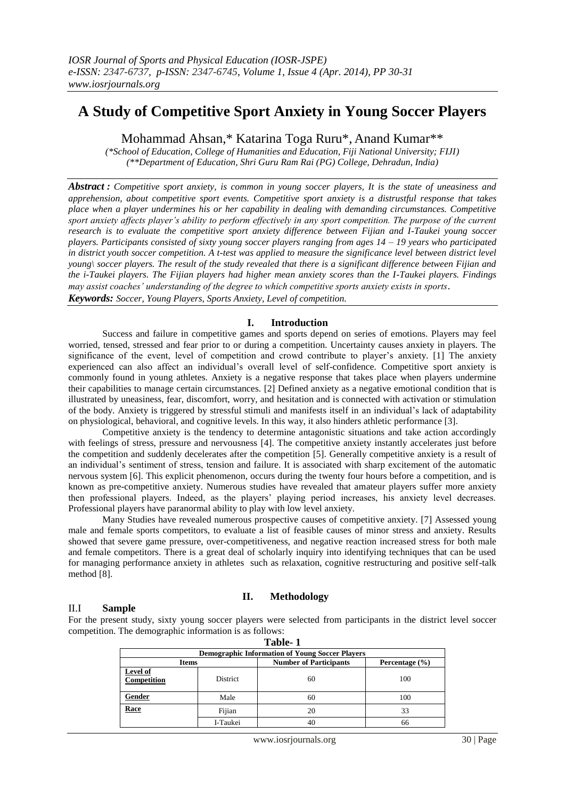# **A Study of Competitive Sport Anxiety in Young Soccer Players**

Mohammad Ahsan,\* Katarina Toga Ruru\*, Anand Kumar\*\*

*(\*School of Education, College of Humanities and Education, Fiji National University; FIJI) (\*\*Department of Education, Shri Guru Ram Rai (PG) College, Dehradun, India)*

*Abstract : Competitive sport anxiety, is common in young soccer players, It is the state of uneasiness and apprehension, about competitive sport events. Competitive sport anxiety is a distrustful response that takes place when a player undermines his or her capability in dealing with demanding circumstances. Competitive sport anxiety affects player's ability to perform effectively in any sport competition. The purpose of the current research is to evaluate the competitive sport anxiety difference between Fijian and I-Taukei young soccer players. Participants consisted of sixty young soccer players ranging from ages 14 – 19 years who participated in district youth soccer competition. A t-test was applied to measure the significance level between district level young\ soccer players. The result of the study revealed that there is a significant difference between Fijian and the i-Taukei players. The Fijian players had higher mean anxiety scores than the I-Taukei players. Findings may assist coaches' understanding of the degree to which competitive sports anxiety exists in sports*. *Keywords: Soccer, Young Players, Sports Anxiety, Level of competition.*

## **I. Introduction**

Success and failure in competitive games and sports depend on series of emotions. Players may feel worried, tensed, stressed and fear prior to or during a competition. Uncertainty causes anxiety in players. The significance of the event, level of competition and crowd contribute to player's anxiety. [1] The anxiety experienced can also affect an individual's overall level of self-confidence. Competitive sport anxiety is commonly found in young athletes. Anxiety is a negative response that takes place when players undermine their capabilities to manage certain circumstances. [2] Defined anxiety as a negative emotional condition that is illustrated by uneasiness, fear, discomfort, worry, and hesitation and is connected with activation or stimulation of the body. Anxiety is triggered by stressful stimuli and manifests itself in an individual's lack of adaptability on physiological, behavioral, and cognitive levels. In this way, it also hinders athletic performance [3].

Competitive anxiety is the tendency to determine antagonistic situations and take action accordingly with feelings of stress, pressure and nervousness [4]. The competitive anxiety instantly accelerates just before the competition and suddenly decelerates after the competition [5]. Generally competitive anxiety is a result of an individual's sentiment of stress, tension and failure. It is associated with sharp excitement of the automatic nervous system [6]. This explicit phenomenon, occurs during the twenty four hours before a competition, and is known as pre-competitive anxiety. Numerous studies have revealed that amateur players suffer more anxiety then professional players. Indeed, as the players' playing period increases, his anxiety level decreases. Professional players have paranormal ability to play with low level anxiety.

Many Studies have revealed numerous prospective causes of competitive anxiety. [7] Assessed young male and female sports competitors, to evaluate a list of feasible causes of minor stress and anxiety. Results showed that severe game pressure, over-competitiveness, and negative reaction increased stress for both male and female competitors. There is a great deal of scholarly inquiry into identifying techniques that can be used for managing performance anxiety in athletes such as relaxation, cognitive restructuring and positive self-talk method [8].

## **II. Methodology**

## II.I **Sample**

For the present study, sixty young soccer players were selected from participants in the district level soccer competition. The demographic information is as follows:

| Table-1                                                |                 |                               |                    |  |  |  |  |
|--------------------------------------------------------|-----------------|-------------------------------|--------------------|--|--|--|--|
| <b>Demographic Information of Young Soccer Players</b> |                 |                               |                    |  |  |  |  |
| <b>Items</b>                                           |                 | <b>Number of Participants</b> | Percentage $(\% )$ |  |  |  |  |
| Level of<br>Competition                                | <b>District</b> | 60                            | 100                |  |  |  |  |
| Gender                                                 | Male            | 60                            | 100                |  |  |  |  |
| Race                                                   | Fijian          | 20                            | 33                 |  |  |  |  |
|                                                        | I-Taukei        | 40                            | 66                 |  |  |  |  |